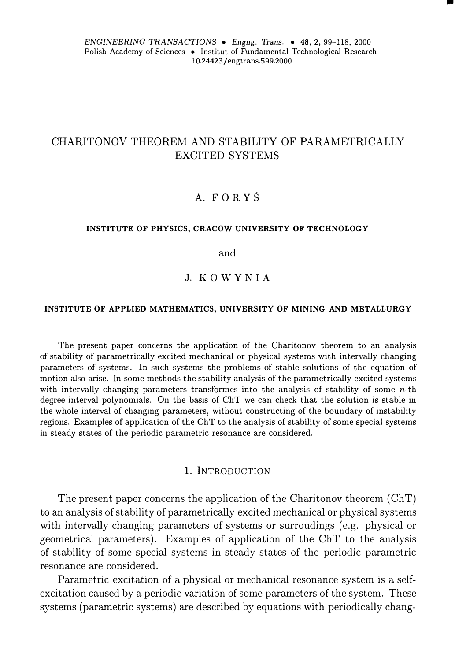*ENGINEERING TRANSACTIONS* • *Engng.* Trans. • 48, 2, 99-118, 2000 Polish Academy of Sciences • Institut of Fundamental Technological Research 10.24423/engtrans.599.2000

•

# CHARITONOV THEOREM AND STABILITY OF PARAMETRICALLY EXCITED SYSTEMS

## A. FORYŚ

### **INSTITUTE OF PHYSICS, CRACOW UNIVERSITY OF TECHNOLOGY**

and

## J. KO WY N I A

### **INSTITUTE OF APPLIED MATHEMATICS, UNIVERSITY OF MINING AND METALLURGY**

The present paper concerns the application of the Charitonov theorem to an analysis of stability of parametrically excited mechanical or physical systems with intervally changing parameters of systems. In such systems the problems of stable solutions of the equation of motion also arise. In some methods the stability analysis of the parametrically excited systems with intervally changing parameters transformes into the analysis of stability of some  $n$ -th degree interval polynomials. On the basis of ChT we can check that the solution is stable in the whole interval of changing parameters, without constructing of the boundary of instability regions. Examples of application of the ChT to the analysis of stability of some special systems in steady states of the periodic parametric resonance are considered.

## l. lNTRODUCTION

The present paper concerns the application of the Charitonov theorem (ChT) to an analysis of stability of parametrically excited mechanical or physical systems with intervally changing parameters of systems or surroudings (e.g. physical or geometrical parameters). Examples of application of the ChT to the analysis of stability of some special systems in steady states of the periodic parametric resonance are considered.

Parametric excitation of a physical or mechanical resonance system is a selfexcitation caused by a periodic variation of some parameters of the system. These systems (parametric systems) are described by equations with periodically chang-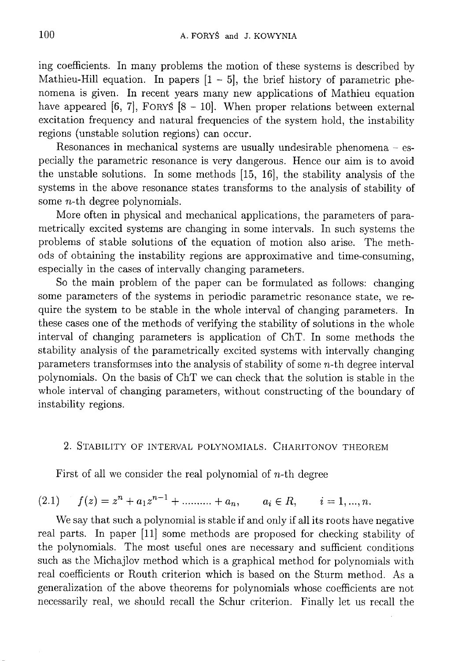ing coefficients. In many problems the motion of these systems is described by Mathieu-Hill equation. In papers  $[1 - 5]$ , the brief history of parametric phenomena is given. In recent years many new applications of Mathieu equation have appeared [6, 7], FORYS  $[8 - 10]$ . When proper relations between external excitation frequency and natural frequencies of the system hold, the instability regions (unstable solution regions) can occur.

Resonances in mechanical systems are usually undesirable phenomena  $-$  especially the parametric resonance is very dangerous. Hence our aim is to avoid the unstable solutions. In some methods [15, 16], the stability analysis of the systems in the above resonance states transforms to the analysis of stability of some  $n$ -th degree polynomials.

More often in physical and mechanical applications, the parameters of parametrically excited systems are changing in some intervals. In such systems the problems of stable solutions of the equation of motion also arise. The methods of obtaining the instability regions are approximative and time-consuming, especially in the cases of intervally changing parameters.

So the main problem of the paper can be formulated as follows: changing some parameters of the systems in periodic parametric resonance state, we require the system to be stable in the whole interval of changing parameters. In these cases one of the methods of verifying the stability of solutions in the whole interval of changing parameters is application of ChT. In some methods the stability analysis of the parametrically excited systems with intervally changing parameters transformses into the analysis of stability of some *n*-th degree interval polynomials. On the basis of ChT we can check that the solution is stable in the whole interval of changing parameters, without constructing of the boundary of instability regions.

## 2. STABILITY OF INTERVAL POLYNOMIALS. CHARITONOV THEOREM

First of all we consider the real polynomial of  $n$ -th degree

$$
(2.1) \t f(z) = zn + a1zn-1 + \dots + an, \t ai \in R, \t i = 1, ..., n.
$$

We say that such a polynomial is stable if and only if all its roots have negative real parts. In paper [11] some methods are proposed for checking stability of the polynomials. The most useful ones are necessary and sufficient conditions such as the Michajlov method which is a graphical method for polynomials with real coefficients or Routh criterion which is based on the Sturm method. As a generalization of the above theorems for polynomials whose coefficients are not necessarily real, we should recall the Schur criterion. Finally let us recall the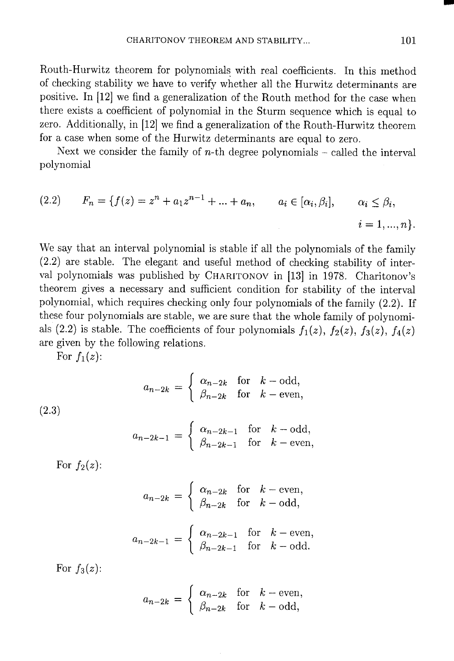Routh-Hurwitz theorem for polynomials with real coefficients. In this method of checking stability we have to verify whether all the Hurwitz determinants are positive. In [12] we find a generalization of the Routh method for the case when there exists a coefficient of polynomial in the Sturm sequence which is equal to zero. Additionally, in [12] we find a generalization of the Routh-Hurwitz theorem for a case when some of the Hurwitz determinants are equal to zero.

Next we consider the family of *n*-th degree polynomials – called the interval polynomial

(2.2) 
$$
F_n = \{f(z) = z^n + a_1 z^{n-1} + \dots + a_n, \qquad a_i \in [\alpha_i, \beta_i], \qquad \alpha_i \le \beta_i, \qquad i = 1, ..., n\}
$$

We say that an interval polynomial is stable if all the polynomials of the family  $(2.2)$  are stable. The elegant and useful method of checking stability of interval polynomials was published by CHARITONOV in [13] in 1978. Charitonov's theorem gives a necessary and sufficient condition for stability of the interval polynomial, which requires checking only four polynomials of the family (2.2). If these four polynomials are stable, we are sure that the whole family of polynomials (2.2) is stable. The coefficients of four polynomials  $f_1(z)$ ,  $f_2(z)$ ,  $f_3(z)$ ,  $f_4(z)$ are given by the following relations.

For  $f_1(z)$ :

$$
a_{n-2k} = \begin{cases} \alpha_{n-2k} & \text{for } k - \text{odd,} \\ \beta_{n-2k} & \text{for } k - \text{even,} \end{cases}
$$

 $(2.3)$ 

$$
a_{n-2k-1} = \begin{cases} \alpha_{n-2k-1} & \text{for } k-\text{odd}, \\ \beta_{n-2k-1} & \text{for } k-\text{even}, \end{cases}
$$

For  $f_2(z)$ :

$$
a_{n-2k} = \begin{cases} \alpha_{n-2k} & \text{for } k - \text{even,} \\ \beta_{n-2k} & \text{for } k - \text{odd,} \end{cases}
$$

$$
a_{n-2k-1} = \begin{cases} \alpha_{n-2k-1} & \text{for } k - \text{even,} \\ \beta_{n-2k-1} & \text{for } k - \text{odd.} \end{cases}
$$

For  $f_3(z)$ :

$$
a_{n-2k} = \begin{cases} \alpha_{n-2k} & \text{for } k - \text{even,} \\ \beta_{n-2k} & \text{for } k - \text{odd,} \end{cases}
$$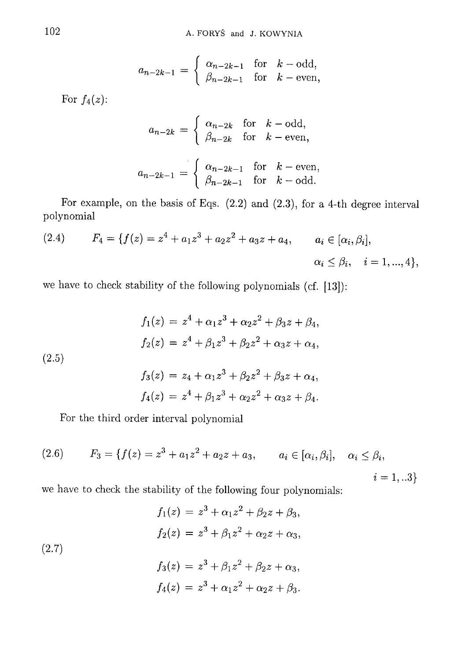$$
a_{n-2k-1} = \begin{cases} \alpha_{n-2k-1} & \text{for } k-\text{odd},\\ \beta_{n-2k-1} & \text{for } k-\text{even}, \end{cases}
$$

For  $f_4(z)$ :

$$
a_{n-2k} = \begin{cases} \alpha_{n-2k} & \text{for } k - \text{odd}, \\ \beta_{n-2k} & \text{for } k - \text{even}, \end{cases}
$$

$$
a_{n-2k-1} = \begin{cases} \alpha_{n-2k-1} & \text{for } k - \text{even}, \\ \beta_{n-2k-1} & \text{for } k - \text{odd}. \end{cases}
$$

For example, on the basis of Eqs.  $(2.2)$  and  $(2.3)$ , for a 4-th degree interval polynomial

(2.4) 
$$
F_4 = \{f(z) = z^4 + a_1 z^3 + a_2 z^2 + a_3 z + a_4, \qquad a_i \in [\alpha_i, \beta_i],
$$

$$
\alpha_i \le \beta_i, \quad i = 1, ..., 4\},
$$

we have to check stability of the following polynomials (cf. [13]):

(2.5)  
\n
$$
f_1(z) = z^4 + \alpha_1 z^3 + \alpha_2 z^2 + \beta_3 z + \beta_4,
$$
\n
$$
f_2(z) = z^4 + \beta_1 z^3 + \beta_2 z^2 + \alpha_3 z + \alpha_4,
$$
\n
$$
f_3(z) = z_4 + \alpha_1 z^3 + \beta_2 z^2 + \beta_3 z + \alpha_4,
$$

$$
f_4(z) = z^4 + \beta_1 z^3 + \alpha_2 z^2 + \alpha_3 z + \beta_4
$$

For the third order interval polynomial

(2.6) 
$$
F_3 = \{f(z) = z^3 + a_1 z^2 + a_2 z + a_3, \qquad a_i \in [\alpha_i, \beta_i], \quad \alpha_i \le \beta_i, \qquad i = 1, ...3\}
$$

we have to check the stability of the following four polynomials:

(2.7)  
\n
$$
f_1(z) = z^3 + \alpha_1 z^2 + \beta_2 z + \beta_3,
$$
\n
$$
f_2(z) = z^3 + \beta_1 z^2 + \alpha_2 z + \alpha_3,
$$
\n
$$
f_3(z) = z^3 + \beta_1 z^2 + \beta_2 z + \alpha_3,
$$
\n
$$
f_4(z) = z^3 + \alpha_1 z^2 + \alpha_2 z + \beta_3.
$$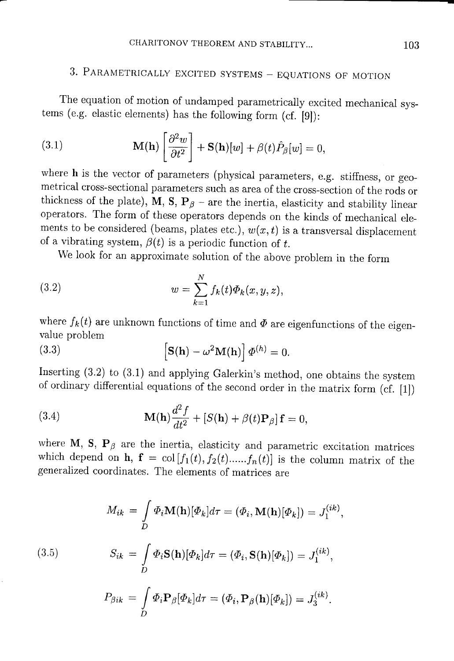# 3. PARAMETRICALLY EXCITED SYSTEMS - EQUATIONS OF MOTION

The equation of motion of undamped parametrically excited mechanical systems (e.g. elastic elements) has the following form (cf.  $[9]$ ):

(3.1) 
$$
\mathbf{M}(\mathbf{h}) \left[ \frac{\partial^2 w}{\partial t^2} \right] + \mathbf{S}(\mathbf{h})[w] + \beta(t) \hat{P}_{\beta}[w] = 0,
$$

where h is the vector of parameters (physical parameters, e.g. stiffness, or geometrical cross-sectional parameters such as area of the cross-section of the rods or thickness of the plate), M, S,  $P_\beta$  – are the inertia, elasticity and stability linear operators. The form of these operators depends on the kinds of mechanical elements to be considered (beams, plates etc.),  $w(x, t)$  is a transversal displacement of a vibrating system,  $\beta(t)$  is a periodic function of t.

We look for an approximate solution of the above problem in the form

(3.2) 
$$
w = \sum_{k=1}^{N} f_k(t) \Phi_k(x, y, z),
$$

where  $f_k(t)$  are unknown functions of time and  $\Phi$  are eigenfunctions of the eigenvalue problem

(3.3) 
$$
\left[\mathbf{S}(\mathbf{h}) - \omega^2 \mathbf{M}(\mathbf{h})\right] \boldsymbol{\Phi}^{(h)} = 0.
$$

Inserting (3.2) to (3.1) and applying Galerkin's method, one obtains the system of ordinary differential equations of the second order in the matrix form (cf. [1])

(3.4) 
$$
\mathbf{M}(\mathbf{h})\frac{d^2f}{dt^2} + [S(\mathbf{h}) + \beta(t)\mathbf{P}_{\beta}]\mathbf{f} = 0,
$$

where M, S,  $P_\beta$  are the inertia, elasticity and parametric excitation matrices which depend on **h**,  $f = col[f_1(t), f_2(t),...,f_n(t)]$  is the column matrix of the generalized coordinates. The elements of matrices are

(3.5)  
\n
$$
M_{ik} = \int_{D} \Phi_i \mathbf{M}(\mathbf{h})[\Phi_k] d\tau = (\Phi_i, \mathbf{M}(\mathbf{h})[\Phi_k]) = J_1^{(ik)},
$$
\n
$$
S_{ik} = \int_{D} \Phi_i \mathbf{S}(\mathbf{h})[\Phi_k] d\tau = (\Phi_i, \mathbf{S}(\mathbf{h})[\Phi_k]) = J_1^{(ik)},
$$
\n
$$
P_{\beta ik} = \int_{D} \Phi_i \mathbf{P}_{\beta}[\Phi_k] d\tau = (\Phi_i, \mathbf{P}_{\beta}(\mathbf{h})[\Phi_k]) = J_3^{(ik)}.
$$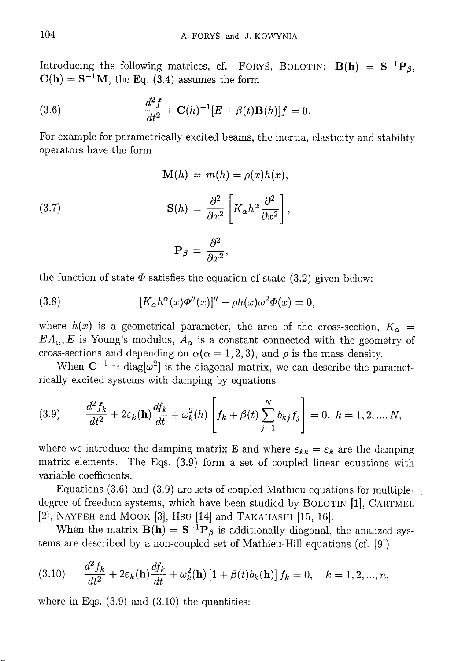Introducing the following matrices, cf. FORYS, BOLOTIN:  $B(h) = S^{-1}P_A$ ,  $C(h) = S^{-1}M$ , the Eq. (3.4) assumes the form

(3.6) 
$$
\frac{d^2 f}{dt^2} + \mathbf{C}(h)^{-1} [E + \beta(t) \mathbf{B}(h)] f = 0.
$$

For example for parametrically excited beams, the inertia, elasticity and stability operators have the form

(3.7) 
$$
\mathbf{M}(h) = m(h) = \rho(x)h(x),
$$

$$
\mathbf{S}(h) = \frac{\partial^2}{\partial x^2} \left[ K_\alpha h^\alpha \frac{\partial^2}{\partial x^2} \right],
$$

$$
\mathbf{P}_\beta = \frac{\partial^2}{\partial x^2},
$$

the function of state  $\Phi$  satisfies the equation of state (3.2) given below:

(3.8) 
$$
[K_{\alpha}h^{\alpha}(x)\Phi''(x)]'' - \rho h(x)\omega^2\Phi(x) = 0,
$$

where  $h(x)$  is a geometrical parameter, the area of the cross-section,  $K_{\alpha}$  =  $EA_{\alpha}, E$  is Young's modulus,  $A_{\alpha}$  is a constant connected with the geometry of cross-sections and depending on  $\alpha(\alpha = 1, 2, 3)$ , and  $\rho$  is the mass density.

When  $\mathbf{C}^{-1} = \text{diag}[\omega^2]$  is the diagonal matrix, we can describe the parametrically excited systems with damping by equations

(3.9) 
$$
\frac{d^2 f_k}{dt^2} + 2\varepsilon_k(\mathbf{h}) \frac{df_k}{dt} + \omega_k^2(h) \left[ f_k + \beta(t) \sum_{j=1}^N b_{kj} f_j \right] = 0, \ k = 1, 2, ..., N,
$$

where we introduce the damping matrix **E** and where  $\varepsilon_{kk} = \varepsilon_k$  are the damping matrix elements. The Eqs. (3.9) form a set of coupled linear equations with variable coefficients.

Equations  $(3.6)$  and  $(3.9)$  are sets of coupled Mathieu equations for multipledegree of freedom systems, which have been studied by BOLOTIN [1], CARTMEL [2], NAYFEH and MOOK [3], HSU [14] and TAKAHASHI [15, 16].

When the matrix  $B(h) = S^{-1}P_\beta$  is additionally diagonal, the analized systems are described by a non-coupled set of Mathieu-Hill equations (cf. [9])

(3.10) 
$$
\frac{d^2 f_k}{dt^2} + 2\varepsilon_k(\mathbf{h}) \frac{df_k}{dt} + \omega_k^2(\mathbf{h}) \left[1 + \beta(t) b_k(\mathbf{h})\right] f_k = 0, \quad k = 1, 2, ..., n,
$$

where in Eqs.  $(3.9)$  and  $(3.10)$  the quantities: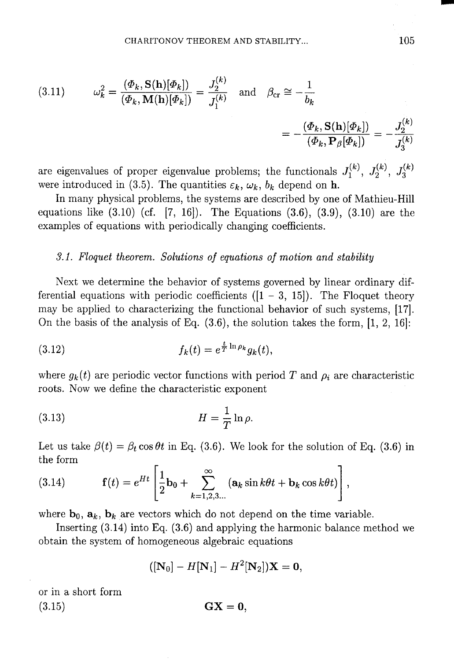(3.11) 
$$
\omega_k^2 = \frac{(\Phi_k, \mathbf{S}(\mathbf{h})[\Phi_k])}{(\Phi_k, \mathbf{M}(\mathbf{h})[\Phi_k])} = \frac{J_2^{(k)}}{J_1^{(k)}} \text{ and } \beta_{\text{cr}} \cong -\frac{1}{b_k}
$$

$$
= -\frac{(\Phi_k, \mathbf{S}(\mathbf{h})[\Phi_k])}{(\Phi_k, \mathbf{P}_\beta[\Phi_k])} = -\frac{J_2^{(k)}}{J_3^{(k)}}
$$

are eigenvalues of proper eigenvalue problems; the functionals  $J_1^{(k)}$ ,  $J_2^{(k)}$ ,  $J_3^{(k)}$ were introduced in (3.5). The quantities  $\varepsilon_k$ ,  $\omega_k$ ,  $b_k$  depend on **h**.

In many physical problems, the systems are described by one of Mathieu-Hill equations like  $(3.10)$  (cf. [7, 16]). The Equations  $(3.6)$ ,  $(3.9)$ ,  $(3.10)$  are the examples of equations with periodically changing coefficients.

## 3.1. Floquet theorem. Solutions of equations of motion and stability

Next we determine the behavior of systems governed by linear ordinary differential equations with periodic coefficients  $([1 - 3, 15])$ . The Floquet theory may be applied to characterizing the functional behavior of such systems, [17]. On the basis of the analysis of Eq.  $(3.6)$ , the solution takes the form, [1, 2, 16]:

(3.12) 
$$
f_k(t) = e^{\frac{t}{T} \ln \rho_k} g_k(t).
$$

where  $q_k(t)$  are periodic vector functions with period T and  $\rho_i$  are characteristic roots. Now we define the characteristic exponent

$$
(3.13)\t\t\t H = \frac{1}{T} \ln \rho.
$$

Let us take  $\beta(t) = \beta_t \cos \theta t$  in Eq. (3.6). We look for the solution of Eq. (3.6) in the form

(3.14) 
$$
\mathbf{f}(t) = e^{Ht} \left[ \frac{1}{2} \mathbf{b}_0 + \sum_{k=1,2,3...}^{\infty} (\mathbf{a}_k \sin k\theta t + \mathbf{b}_k \cos k\theta t) \right],
$$

where  $\mathbf{b}_0$ ,  $\mathbf{a}_k$ ,  $\mathbf{b}_k$  are vectors which do not depend on the time variable.

Inserting  $(3.14)$  into Eq.  $(3.6)$  and applying the harmonic balance method we obtain the system of homogeneous algebraic equations

$$
([N_0]-H[N_1]-H^2[N_2])X=0,
$$

or in a short form  $(3.15)$ 

$$
\mathbf{GX}=\mathbf{0},
$$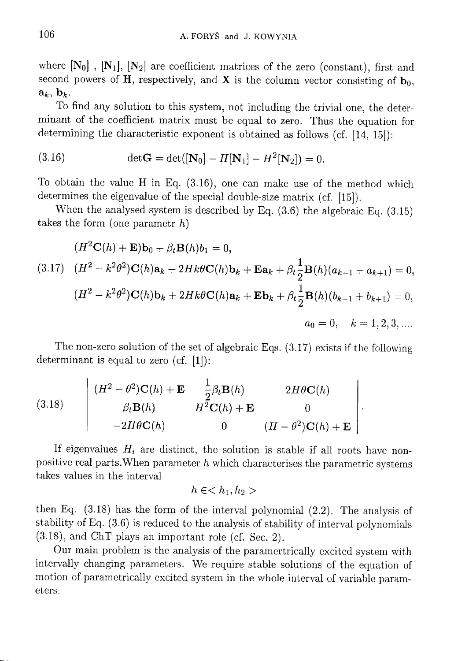where  $[N_0]$ ,  $[N_1]$ ,  $[N_2]$  are coefficient matrices of the zero (constant), first and second powers of H, respectively, and X is the column vector consisting of  $\mathbf{b}_0$ ,  $\mathbf{a}_k, \mathbf{b}_k.$ 

To find any solution to this system, not including the trivial one, the determinant of the coefficient matrix must be equal to zero. Thus the equation for determining the characteristic exponent is obtained as follows (cf. [14, 15]):

(3.16) 
$$
\det G = \det([N_0] - H[N_1] - H^2[N_2]) = 0.
$$

To obtain the value H in Eq. (3.16), one can make use of the method which determines the eigenvalue of the special double-size matrix (cf. [15]).

When the analysed system is described by Eq.  $(3.6)$  the algebraic Eq.  $(3.15)$ takes the form (one parametr  $h$ )

$$
(H^{2}C(h) + \mathbf{E})\mathbf{b}_{0} + \beta_{t}\mathbf{B}(h)b_{1} = 0,
$$
  
(3.17) 
$$
(H^{2} - k^{2}\theta^{2})\mathbf{C}(h)\mathbf{a}_{k} + 2Hk\theta\mathbf{C}(h)\mathbf{b}_{k} + \mathbf{E}\mathbf{a}_{k} + \beta_{t}\frac{1}{2}\mathbf{B}(h)(a_{k-1} + a_{k+1}) = 0,
$$
  

$$
(H^{2} - k^{2}\theta^{2})\mathbf{C}(h)\mathbf{b}_{k} + 2Hk\theta\mathbf{C}(h)\mathbf{a}_{k} + \mathbf{E}\mathbf{b}_{k} + \beta_{t}\frac{1}{2}\mathbf{B}(h)(b_{k-1} + b_{k+1}) = 0,
$$
  

$$
a_{0} = 0, \quad k = 1, 2, 3, ....
$$

The non-zero solution of the set of algebraic Eqs.  $(3.17)$  exists if the following determinant is equal to zero (cf.  $[1]$ ):

(3.18) 
$$
\begin{vmatrix}\n(H^2 - \theta^2)\mathbf{C}(h) + \mathbf{E} & \frac{1}{2}\beta_t \mathbf{B}(h) & 2H\theta\mathbf{C}(h) \\
\beta_t \mathbf{B}(h) & H^2\mathbf{C}(h) + \mathbf{E} & 0 \\
-2H\theta\mathbf{C}(h) & 0 & (H - \theta^2)\mathbf{C}(h) + \mathbf{E}\n\end{vmatrix}
$$

If eigenvalues  $H_i$  are distinct, the solution is stable if all roots have nonpositive real parts. When parameter  $h$  which characterises the parametric systems takes values in the interval

$$
h\in
$$

then Eq.  $(3.18)$  has the form of the interval polynomial  $(2.2)$ . The analysis of stability of Eq. (3.6) is reduced to the analysis of stability of interval polynomials  $(3.18)$ , and ChT plays an important role (cf. Sec. 2).

Our main problem is the analysis of the parametrically excited system with intervally changing parameters. We require stable solutions of the equation of motion of parametrically excited system in the whole interval of variable parameters.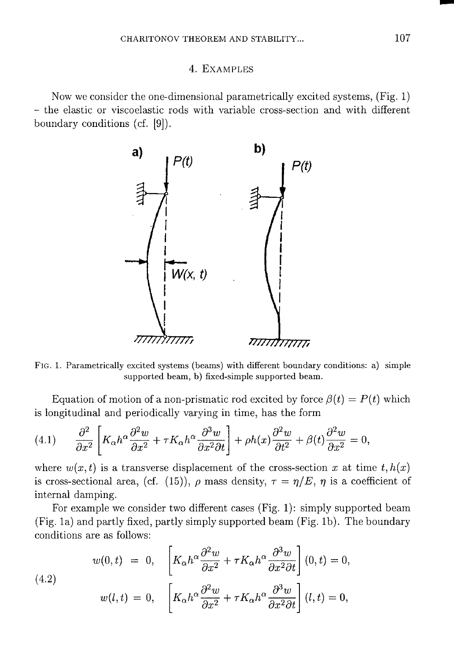### 4. EXAMPLES

Now we consider the one-dimensional parametrically excited systems. (Fig. 1) - the elastic or viscoelastic rods with variable cross-section and with different boundary conditions (cf. [9]).



FIG. 1. Parametrically excited systems (beams) with different boundary conditions: a) simple supported beam, b) fixed-simple supported beam.

Equation of motion of a non-prismatic rod excited by force  $\beta(t) = P(t)$  which is longitudinal and periodically varying in time, has the form

(4.1) 
$$
\frac{\partial^2}{\partial x^2} \left[ K_\alpha h^\alpha \frac{\partial^2 w}{\partial x^2} + \tau K_\alpha h^\alpha \frac{\partial^3 w}{\partial x^2 \partial t} \right] + \rho h(x) \frac{\partial^2 w}{\partial t^2} + \beta(t) \frac{\partial^2 w}{\partial x^2} = 0
$$

where  $w(x, t)$  is a transverse displacement of the cross-section x at time  $t, h(x)$ is cross-sectional area, (cf. (15)),  $\rho$  mass density,  $\tau = \eta/E$ ,  $\eta$  is a coefficient of internal damping.

For example we consider two different cases (Fig. 1): simply supported beam (Fig. 1a) and partly fixed, partly simply supported beam (Fig. 1b). The boundary conditions are as follows:

(4.2)  

$$
w(0,t) = 0, \quad \left[K_{\alpha}h^{\alpha}\frac{\partial^2 w}{\partial x^2} + \tau K_{\alpha}h^{\alpha}\frac{\partial^3 w}{\partial x^2 \partial t}\right](0,t) = 0,
$$

$$
w(l,t) = 0, \quad \left[K_{\alpha}h^{\alpha}\frac{\partial^2 w}{\partial x^2} + \tau K_{\alpha}h^{\alpha}\frac{\partial^3 w}{\partial x^2 \partial t}\right](l,t) = 0,
$$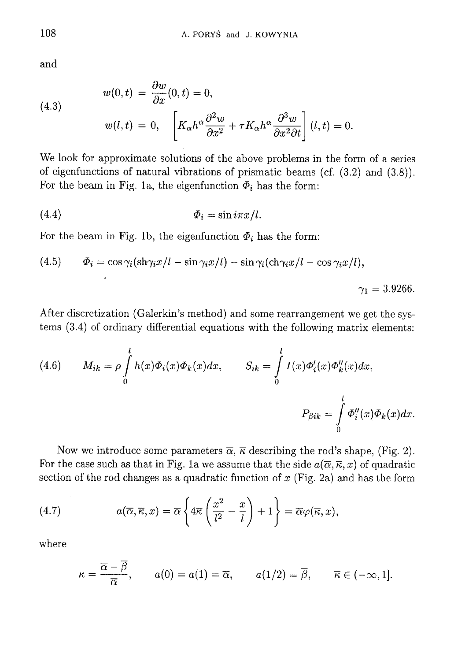and

(4.3)  

$$
w(0,t) = \frac{\partial w}{\partial x}(0,t) = 0,
$$

$$
w(l,t) = 0, \quad \left[K_{\alpha}h^{\alpha}\frac{\partial^2 w}{\partial x^2} + \tau K_{\alpha}h^{\alpha}\frac{\partial^3 w}{\partial x^2 \partial t}\right](l,t) = 0
$$

We look for approximate solutions of the above problems in the form of a series of eigenfunctions of natural vibrations of prismatic beams (cf.  $(3.2)$  and  $(3.8)$ ). For the beam in Fig. 1a, the eigenfunction  $\Phi_i$  has the form:

$$
\Phi_i = \sin i\pi x/l.
$$

For the beam in Fig. 1b, the eigenfunction  $\Phi_i$  has the form:

(4.5) 
$$
\Phi_i = \cos \gamma_i (\sin \gamma_i x/l - \sin \gamma_i x/l) - \sin \gamma_i (\sin \gamma_i x/l - \cos \gamma_i x/l),
$$

$$
\gamma_1 = 3.9266.
$$

After discretization (Galerkin's method) and some rearrangement we get the systems  $(3.4)$  of ordinary differential equations with the following matrix elements:

(4.6) 
$$
M_{ik} = \rho \int_{0}^{l} h(x) \Phi_i(x) \Phi_k(x) dx, \qquad S_{ik} = \int_{0}^{l} I(x) \Phi'_i(x) \Phi''_k(x) dx,
$$

$$
P_{\beta ik} = \int_{0}^{l} \Phi''_i(x) \Phi_k(x) dx.
$$

Now we introduce some parameters  $\overline{\alpha}$ ,  $\overline{\kappa}$  describing the rod's shape, (Fig. 2). For the case such as that in Fig. 1a we assume that the side  $a(\overline{\alpha}, \overline{\kappa}, x)$  of quadratic section of the rod changes as a quadratic function of  $x$  (Fig. 2a) and has the form

(4.7) 
$$
a(\overline{\alpha}, \overline{\kappa}, x) = \overline{\alpha} \left\{ 4\overline{\kappa} \left( \frac{x^2}{l^2} - \frac{x}{l} \right) + 1 \right\} = \overline{\alpha} \varphi(\overline{\kappa}, x),
$$

where

$$
\kappa = \frac{\overline{\alpha} - \overline{\beta}}{\overline{\alpha}}, \qquad a(0) = a(1) = \overline{\alpha}, \qquad a(1/2) = \overline{\beta}, \qquad \overline{\kappa} \in (-\infty, 1].
$$

108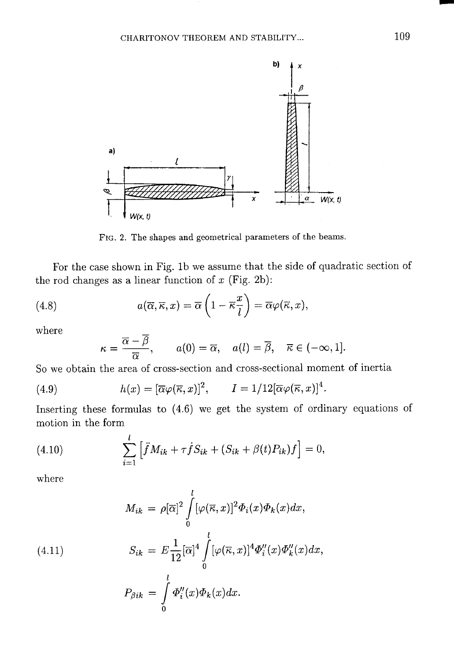

FIG. 2. The shapes and geometrical parameters of the beams.

For the case shown in Fig. 1b we assume that the side of quadratic section of the rod changes as a linear function of  $x$  (Fig. 2b):

(4.8) 
$$
a(\overline{\alpha}, \overline{\kappa}, x) = \overline{\alpha} \left( 1 - \overline{\kappa} \frac{x}{l} \right) = \overline{\alpha} \varphi(\overline{\kappa}, x),
$$

where

$$
\kappa = \frac{\overline{\alpha} - \overline{\beta}}{\overline{\alpha}}, \qquad a(0) = \overline{\alpha}, \quad a(l) = \overline{\beta}, \quad \overline{\kappa} \in (-\infty, 1].
$$

So we obtain the area of cross-section and cross-sectional moment of inertia

(4.9) 
$$
h(x) = [\overline{\alpha}\varphi(\overline{\kappa},x)]^2, \qquad I = 1/12[\overline{\alpha}\varphi(\overline{\kappa},x)]^4.
$$

Inserting these formulas to  $(4.6)$  we get the system of ordinary equations of motion in the form

(4.10) 
$$
\sum_{i=1}^{l} \left[ \ddot{f} M_{ik} + \tau \dot{f} S_{ik} + (S_{ik} + \beta(t) P_{ik}) f \right] = 0,
$$

where

(4.11)  
\n
$$
M_{ik} = \rho[\overline{\alpha}]^2 \int_0^l [\varphi(\overline{\kappa}, x)]^2 \Phi_i(x) \Phi_k(x) dx,
$$
\n
$$
S_{ik} = E \frac{1}{12} [\overline{\alpha}]^4 \int_0^l [\varphi(\overline{\kappa}, x)]^4 \Phi_i''(x) \Phi_k''(x) dx,
$$
\n
$$
P_{\beta ik} = \int_0^l \Phi_i''(x) \Phi_k(x) dx.
$$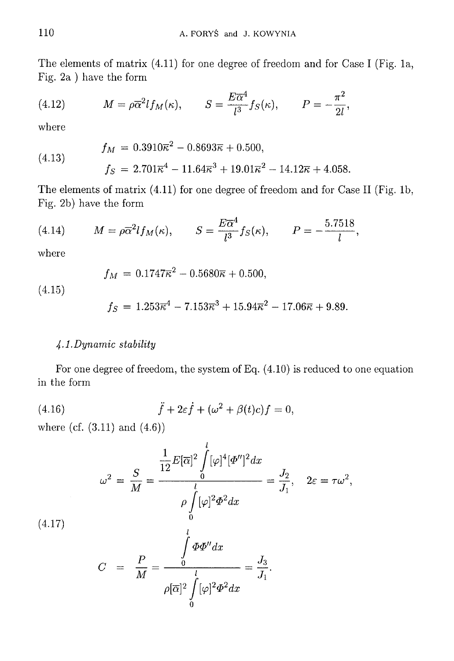The elements of matrix  $(4.11)$  for one degree of freedom and for Case I (Fig. 1a, Fig. 2a ) have the form

(4.12) 
$$
M = \rho \overline{\alpha}^2 l f_M(\kappa), \qquad S = \frac{E \overline{\alpha}^4}{l^3} f_S(\kappa), \qquad P = -\frac{\pi^2}{2l},
$$

where

(4.13) 
$$
f_M = 0.3910\overline{\kappa}^2 - 0.8693\overline{\kappa} + 0.500,
$$

$$
f_S = 2.701\overline{\kappa}^4 - 11.64\overline{\kappa}^3 + 19.01\overline{\kappa}^2 - 14.12\overline{\kappa} + 4.058.
$$

The elements of matrix (4.11) for one degree of freedom and for Case II (Fig. 1b, Fig. 2b) have the form

(4.14) 
$$
M = \rho \overline{\alpha}^2 l f_M(\kappa), \qquad S = \frac{E \overline{\alpha}^4}{l^3} f_S(\kappa), \qquad P = -\frac{5.7518}{l},
$$

where

$$
f_M = 0.1747\overline{\kappa}^2 - 0.5680\overline{\kappa} + 0.500,
$$

 $(4.15)$ 

 $(4.1)$ 

$$
f_S = 1.253\overline{\kappa}^4 - 7.153\overline{\kappa}^3 + 15.94\overline{\kappa}^2 - 17.06\overline{\kappa} + 9.89.
$$

# 4.1. Dynamic stability

For one degree of freedom, the system of Eq.  $(4.10)$  is reduced to one equation in the form

(4.16) 
$$
\ddot{f} + 2\varepsilon \dot{f} + (\omega^2 + \beta(t)c)f = 0,
$$

where (cf.  $(3.11)$  and  $(4.6)$ )

$$
\omega^2 = \frac{S}{M} = \frac{\frac{1}{12}E[\overline{\alpha}]^2 \int_0^l [\varphi]^4 [\Phi'']^2 dx}{\rho \int_0^l [\varphi]^2 \Phi^2 dx} = \frac{J_2}{J_1}, \quad 2\varepsilon = \tau \omega^2,
$$
  
(7)  

$$
C = \frac{P}{M} = \frac{\int_0^l \Phi \Phi'' dx}{\rho[\overline{\alpha}]^2 \int_0^l [\varphi]^2 \Phi^2 dx} = \frac{J_3}{J_1}.
$$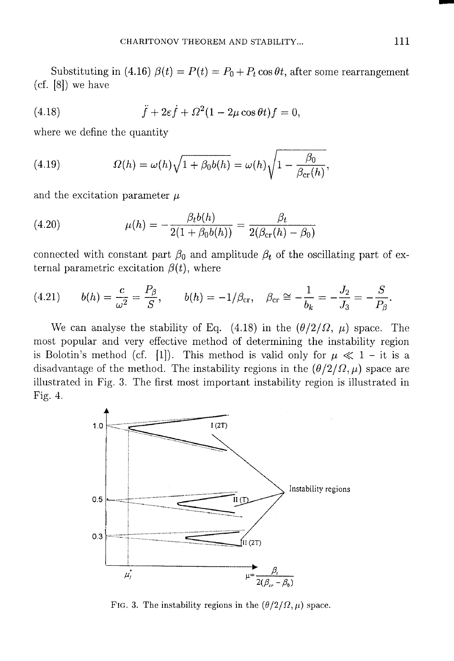Substituting in (4.16)  $\beta(t) = P(t) = P_0 + P_t \cos \theta t$ , after some rearrangement  $(cf. [8])$  we have

(4.18) 
$$
\ddot{f} + 2\varepsilon \dot{f} + \Omega^2 (1 - 2\mu \cos \theta t) f = 0,
$$

where we define the quantity

(4.19) 
$$
\Omega(h) = \omega(h)\sqrt{1 + \beta_0 b(h)} = \omega(h)\sqrt{1 - \frac{\beta_0}{\beta_{cr}(h)}},
$$

and the excitation parameter  $\mu$ 

(4.20) 
$$
\mu(h) = -\frac{\beta_t b(h)}{2(1 + \beta_0 b(h))} = \frac{\beta_t}{2(\beta_{cr}(h) - \beta_0)}
$$

connected with constant part  $\beta_0$  and amplitude  $\beta_t$  of the oscillating part of external parametric excitation  $\beta(t)$ , where

(4.21) 
$$
b(h) = \frac{c}{\omega^2} = \frac{P_\beta}{S}, \qquad b(h) = -1/\beta_{\text{cr}}, \quad \beta_{\text{cr}} \cong -\frac{1}{b_k} = -\frac{J_2}{J_3} = -\frac{S}{P_\beta}.
$$

We can analyse the stability of Eq. (4.18) in the  $(\theta/2/\Omega, \mu)$  space. The most popular and very effective method of determining the instability region is Bolotin's method (cf. [1]). This method is valid only for  $\mu \ll 1$  – it is a disadvantage of the method. The instability regions in the  $(\theta/2/\Omega, \mu)$  space are illustrated in Fig. 3. The first most important instability region is illustrated in Fig. 4.



FIG. 3. The instability regions in the  $(\theta/2/\Omega, \mu)$  space.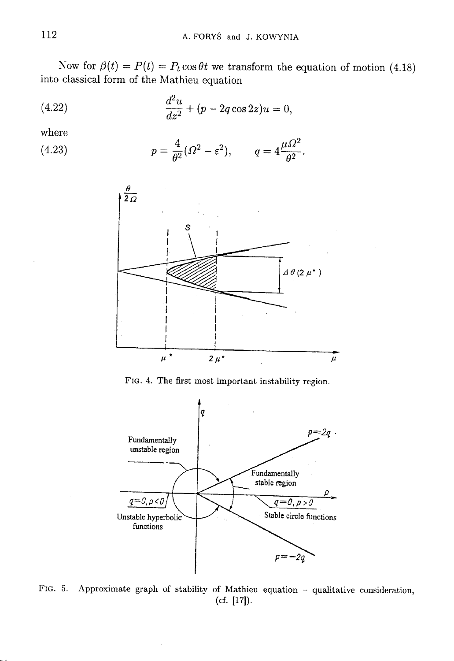Now for  $\beta(t) = P(t) = P_t \cos \theta t$  we transform the equation of motion (4.18) into classical form of the Mathieu equation

(4.22) 
$$
\frac{d^2u}{dz^2} + (p - 2q\cos 2z)u = 0,
$$

where

(4.23) 
$$
p = \frac{4}{\theta^2} (\Omega^2 - \varepsilon^2), \qquad q = 4 \frac{\mu \Omega^2}{\theta^2}.
$$



FIG. 4. The first most important instability region.



FIG. 5. Approximate graph of stability of Mathieu equation - qualitative consideration,  $(cf. [17]).$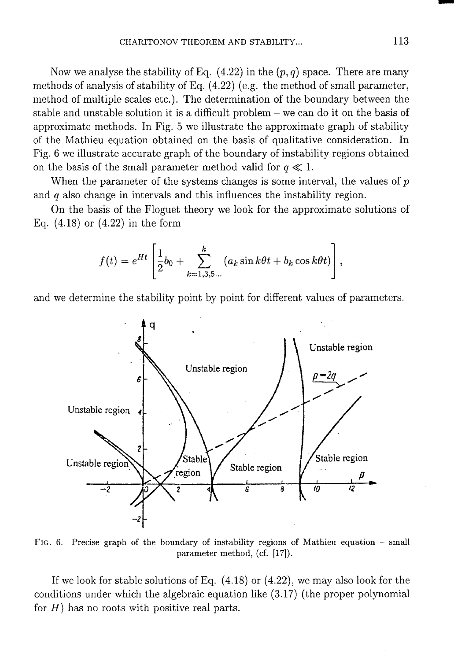Now we analyse the stability of Eq.  $(4.22)$  in the  $(p, q)$  space. There are many methods of analysis of stability of Eq.  $(4.22)$  (e.g. the method of small parameter, method of multiple scales etc.). The determination of the boundary between the stable and unstable solution it is a difficult problem  $-$  we can do it on the basis of approximate methods. In Fig. 5 we illustrate the approximate graph of stability of the Mathieu equation obtained on the basis of qualitative consideration. In Fig. 6 we illustrate accurate graph of the boundary of instability regions obtained on the basis of the small parameter method valid for  $q \ll 1$ .

When the parameter of the systems changes is some interval, the values of  $p$ and  $q$  also change in intervals and this influences the instability region.

On the basis of the Floguet theory we look for the approximate solutions of Eq.  $(4.18)$  or  $(4.22)$  in the form

$$
f(t) = e^{Ht} \left[ \frac{1}{2} b_0 + \sum_{k=1,3,5...}^{k} (a_k \sin k\theta t + b_k \cos k\theta t) \right],
$$

and we determine the stability point by point for different values of parameters.



FIG. 6. Precise graph of the boundary of instability regions of Mathieu equation - small parameter method, (cf. [17]).

If we look for stable solutions of Eq.  $(4.18)$  or  $(4.22)$ , we may also look for the conditions under which the algebraic equation like (3.17) (the proper polynomial for  $H$ ) has no roots with positive real parts.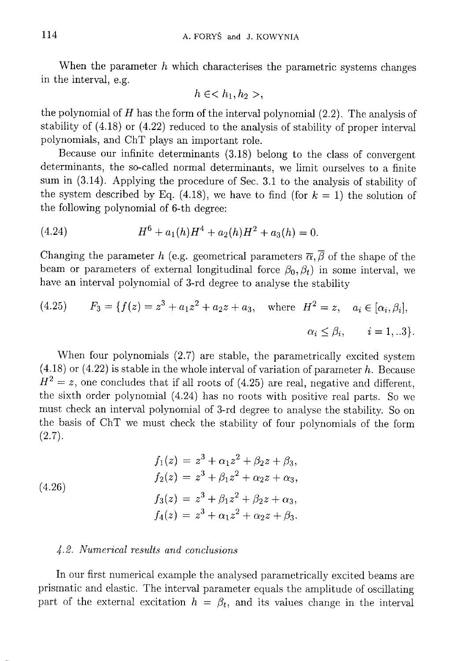When the parameter  $h$  which characterises the parametric systems changes in the interval, e.g.

$$
h \in \langle h_1, h_2 \rangle,
$$

the polynomial of  $H$  has the form of the interval polynomial  $(2.2)$ . The analysis of stability of  $(4.18)$  or  $(4.22)$  reduced to the analysis of stability of proper interval polynomials, and ChT plays an important role.

Because our infinite determinants (3.18) belong to the class of convergent determinants, the so-called normal determinants, we limit ourselves to a finite sum in (3.14). Applying the procedure of Sec. 3.1 to the analysis of stability of the system described by Eq. (4.18), we have to find (for  $k = 1$ ) the solution of the following polynomial of 6-th degree:

(4.24) 
$$
H^6 + a_1(h)H^4 + a_2(h)H^2 + a_3(h) = 0.
$$

Changing the parameter h (e.g. geometrical parameters  $\overline{\alpha}, \overline{\beta}$  of the shape of the beam or parameters of external longitudinal force  $\beta_0$ ,  $\beta_t$ ) in some interval, we have an interval polynomial of 3-rd degree to analyse the stability

(4.25) 
$$
F_3 = \{f(z) = z^3 + a_1 z^2 + a_2 z + a_3, \text{ where } H^2 = z, a_i \in [\alpha_i, \beta_i],
$$

$$
\alpha_i \le \beta_i, \quad i = 1, ...3\}.
$$

When four polynomials (2.7) are stable, the parametrically excited system  $(4.18)$  or  $(4.22)$  is stable in the whole interval of variation of parameter h. Because  $H^2 = z$ , one concludes that if all roots of (4.25) are real, negative and different, the sixth order polynomial (4.24) has no roots with positive real parts. So we must check an interval polynomial of 3-rd degree to analyse the stability. So on the basis of ChT we must check the stability of four polynomials of the form  $(2.7).$ 

(4.26)  
\n
$$
f_1(z) = z^3 + \alpha_1 z^2 + \beta_2 z + \beta_3,
$$
\n
$$
f_2(z) = z^3 + \beta_1 z^2 + \alpha_2 z + \alpha_3,
$$
\n
$$
f_3(z) = z^3 + \beta_1 z^2 + \beta_2 z + \alpha_3,
$$
\n
$$
f_4(z) = z^3 + \alpha_1 z^2 + \alpha_2 z + \beta_3.
$$

### 4.2. Numerical results and conclusions

In our first numerical example the analysed parametrically excited beams are prismatic and elastic. The interval parameter equals the amplitude of oscillating part of the external excitation  $h = \beta_t$ , and its values change in the interval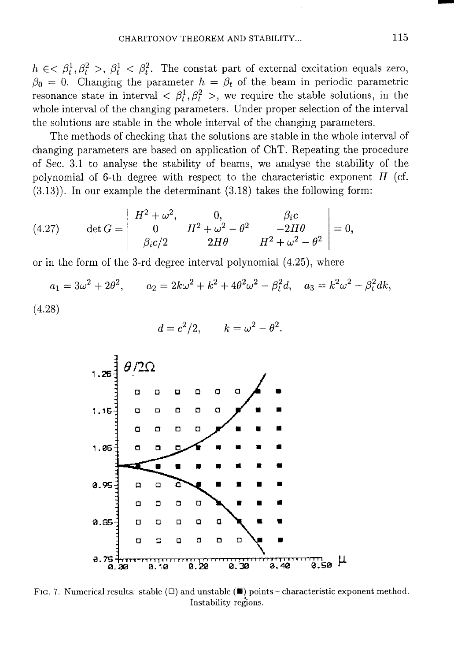$h \in \mathcal{A}^1$ ,  $\beta_t^2 > \beta_t^1 < \beta_t^2$ . The constat part of external excitation equals zero,  $\beta_0 = 0$ . Changing the parameter  $h = \beta_t$  of the beam in periodic parametric resonance state in interval  $\langle \beta_t^1, \beta_t^2 \rangle$ , we require the stable solutions, in the whole interval of the changing parameters. Under proper selection of the interval the solutions are stable in the whole interval of the changing parameters.

The methods of checking that the solutions are stable in the whole interval of changing parameters are based on application of ChT. Repeating the procedure of Sec. 3.1 to analyse the stability of beams, we analyse the stability of the polynomial of 6-th degree with respect to the characteristic exponent  $H$  (cf.  $(3.13)$ ). In our example the determinant  $(3.18)$  takes the following form:

(4.27) 
$$
\det G = \begin{vmatrix} H^2 + \omega^2, & 0, & \beta_i c \\ 0 & H^2 + \omega^2 - \theta^2 & -2H\theta \\ \beta_i c/2 & 2H\theta & H^2 + \omega^2 - \theta^2 \end{vmatrix} = 0,
$$

or in the form of the 3-rd degree interval polynomial  $(4.25)$ , where

$$
a_1 = 3\omega^2 + 2\theta^2
$$
,  $a_2 = 2k\omega^2 + k^2 + 4\theta^2\omega^2 - \beta_t^2 d$ ,  $a_3 = k^2\omega^2 - \beta_t^2 dk$ ,

 $(4.28)$ 

$$
d = c^2/2, \qquad k = \omega^2 - \theta^2
$$



FIG. 7. Numerical results: stable  $(\Box)$  and unstable  $(\blacksquare)$  points – characteristic exponent method. Instability regions.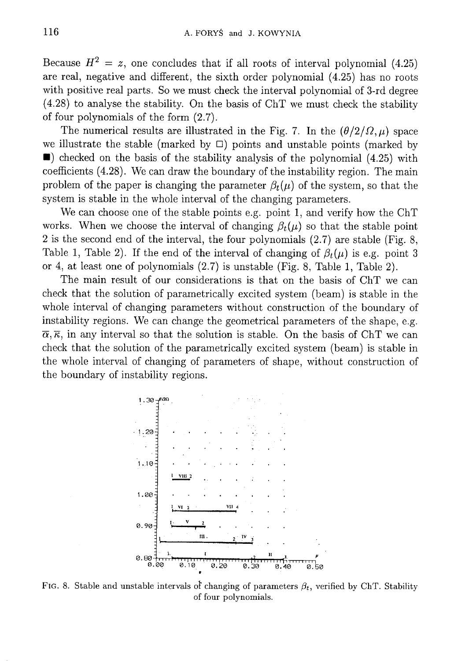Because  $H^2 = z$ , one concludes that if all roots of interval polynomial (4.25) are real, negative and different, the sixth order polynomial (4.25) has no roots with positive real parts. So we must check the interval polynomial of 3-rd degree  $(4.28)$  to analyse the stability. On the basis of ChT we must check the stability of four polynomials of the form  $(2.7)$ .

The numerical results are illustrated in the Fig. 7. In the  $(\theta/2/\Omega,\mu)$  space we illustrate the stable (marked by  $\square$ ) points and unstable points (marked by  $\blacksquare$ ) checked on the basis of the stability analysis of the polynomial (4.25) with coefficients (4.28). We can draw the boundary of the instability region. The main problem of the paper is changing the parameter  $\beta_t(\mu)$  of the system, so that the system is stable in the whole interval of the changing parameters.

We can choose one of the stable points e.g. point 1, and verify how the ChT works. When we choose the interval of changing  $\beta_t(\mu)$  so that the stable point 2 is the second end of the interval, the four polynomials  $(2.7)$  are stable (Fig. 8, Table 1, Table 2). If the end of the interval of changing of  $\beta_t(\mu)$  is e.g. point 3 or 4, at least one of polynomials (2.7) is unstable (Fig. 8, Table 1, Table 2).

The main result of our considerations is that on the basis of ChT we can check that the solution of parametrically excited system (beam) is stable in the whole interval of changing parameters without construction of the boundary of instability regions. We can change the geometrical parameters of the shape, e.g.  $\overline{\alpha}, \overline{\kappa}$ , in any interval so that the solution is stable. On the basis of ChT we can check that the solution of the parametrically excited system (beam) is stable in the whole interval of changing of parameters of shape, without construction of the boundary of instability regions.



FIG. 8. Stable and unstable intervals of changing of parameters  $\beta_t$ , verified by ChT. Stability of four polynomials.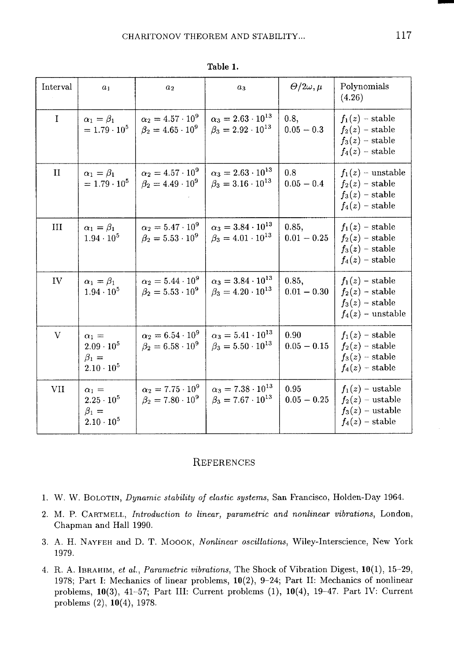| Interval    | a <sub>1</sub>                                                            | a <sub>2</sub>                                              | $a_3$                                                             | $\Theta/2\omega,\mu$   | Polynomials<br>(4.26)                                                               |
|-------------|---------------------------------------------------------------------------|-------------------------------------------------------------|-------------------------------------------------------------------|------------------------|-------------------------------------------------------------------------------------|
| $\mathbf I$ | $\alpha_1=\beta_1$<br>$= 1.79 \cdot 10^{5}$                               | $\alpha_2 = 4.57 \cdot 10^9$<br>$\beta_2 = 4.65 \cdot 10^9$ | $\alpha_3 = 2.63 \cdot 10^{13}$<br>$\beta_3 = 2.92 \cdot 10^{13}$ | 0.8,<br>$0.05 - 0.3$   | $f_1(z)$ – stable<br>$f_2(z)$ – stable<br>$f_3(z)$ – stable<br>$f_4(z)$ – stable    |
| П           | $\alpha_1=\beta_1$<br>$= 1.79 \cdot 10^5$                                 | $\alpha_2 = 4.57 \cdot 10^9$<br>$\beta_2 = 4.49 \cdot 10^9$ | $\alpha_3 = 2.63 \cdot 10^{13}$<br>$\beta_3 = 3.16 \cdot 10^{13}$ | 0.8<br>$0.05 - 0.4$    | $f_1(z)$ – unstable<br>$f_2(z)$ – stable<br>$f_3(z)$ – stable<br>$f_4(z)$ – stable  |
| III         | $\alpha_1 = \beta_1$<br>$1.94 \cdot 10^{5}$                               | $\alpha_2 = 5.47 \cdot 10^9$<br>$\beta_2 = 5.53 \cdot 10^9$ | $\alpha_3 = 3.84 \cdot 10^{13}$<br>$\beta_3 = 4.01 \cdot 10^{13}$ | 0.85,<br>$0.01 - 0.25$ | $f_1(z)$ – stable<br>$f_2(z)$ – stable<br>$f_3(z)$ – stable<br>$f_4(z)$ – stable    |
| IV          | $\alpha_1 = \beta_1$<br>$1.94 \cdot 10^{5}$                               | $\alpha_2 = 5.44 \cdot 10^9$<br>$\beta_2 = 5.53 \cdot 10^9$ | $\alpha_3 = 3.84 \cdot 10^{13}$<br>$\beta_3 = 4.20 \cdot 10^{13}$ | 0.85,<br>$0.01 - 0.30$ | $f_1(z)$ – stable<br>$f_2(z)$ – stable<br>$f_3(z)$ – stable<br>$f_4(z)$ – unstable  |
| V           | $\alpha_1 =$<br>$2.09 \cdot 10^{5}$<br>$\beta_1 =$<br>$2.10 \cdot 10^{5}$ | $\alpha_2 = 6.54 \cdot 10^9$<br>$\beta_2 = 6.58 \cdot 10^9$ | $\alpha_3 = 5.41 \cdot 10^{13}$<br>$\beta_3 = 5.50 \cdot 10^{13}$ | 0.90<br>$0.05 - 0.15$  | $f_1(z)$ – stable<br>$f_2(z)$ - stable<br>$f_3(z)$ – stable<br>$f_4(z)$ – stable    |
| <b>VII</b>  | $\alpha_1 =$<br>$2.25 \cdot 10^5$<br>$\beta_1 =$<br>$2.10 \cdot 10^{5}$   | $\alpha_2 = 7.75 \cdot 10^9$<br>$\beta_2 = 7.80 \cdot 10^9$ | $\alpha_3 = 7.38 \cdot 10^{13}$<br>$\beta_3 = 7.67 \cdot 10^{13}$ | 0.95<br>$0.05 - 0.25$  | $f_1(z)$ – ustable<br>$f_2(z)$ – ustable<br>$f_3(z)$ – ustable<br>$f_4(z)$ - stable |

Table 1.

### **REFERENCES**

- 1. W. W. BOLOTIN, Dynamic stability of elastic systems, San Francisco, Holden-Day 1964.
- 2. M. P. CARTMELL, Introduction to linear, parametric and nonlinear vibrations, London, Chapman and Hall 1990.
- 3. A. H. NAYFEH and D. T. MOOOK, Nonlinear oscillations, Wiley-Interscience, New York 1979.
- 4. R. A. IBRAHIM, et al., Parametric vibrations, The Shock of Vibration Digest, 10(1), 15-29, 1978; Part I: Mechanics of linear problems, 10(2), 9-24; Part II: Mechanics of nonlinear problems,  $10(3)$ ,  $41-57$ ; Part III: Current problems  $(1)$ ,  $10(4)$ ,  $19-47$ . Part IV: Current problems  $(2)$ , 10 $(4)$ , 1978.